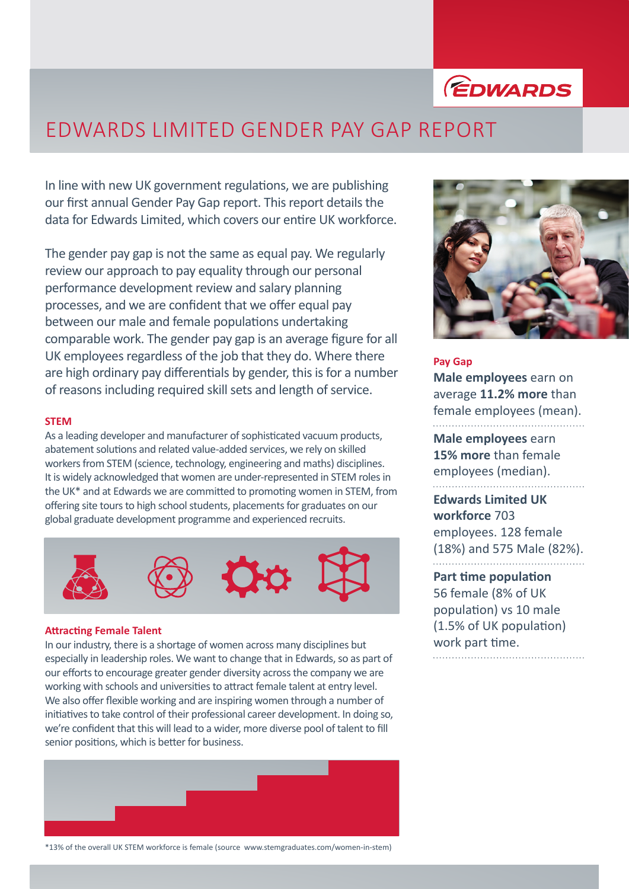

## EDWARDS LIMITED GENDER PAY GAP REPORT

In line with new UK government regulations, we are publishing our first annual Gender Pay Gap report. This report details the data for Edwards Limited, which covers our entire UK workforce.

The gender pay gap is not the same as equal pay. We regularly review our approach to pay equality through our personal performance development review and salary planning processes, and we are confident that we offer equal pay between our male and female populations undertaking comparable work. The gender pay gap is an average figure for all UK employees regardless of the job that they do. Where there are high ordinary pay differentials by gender, this is for a number of reasons including required skill sets and length of service.

## **STEM**

As a leading developer and manufacturer of sophisticated vacuum products, abatement solutions and related value-added services, we rely on skilled workers from STEM (science, technology, engineering and maths) disciplines. It is widely acknowledged that women are under-represented in STEM roles in the UK\* and at Edwards we are committed to promoting women in STEM, from offering site tours to high school students, placements for graduates on our global graduate development programme and experienced recruits.



## **Attracting Female Talent**

In our industry, there is a shortage of women across many disciplines but especially in leadership roles. We want to change that in Edwards, so as part of our efforts to encourage greater gender diversity across the company we are working with schools and universities to attract female talent at entry level. We also offer flexible working and are inspiring women through a number of initiatives to take control of their professional career development. In doing so, we're confident that this will lead to a wider, more diverse pool of talent to fill senior positions, which is better for business.







### **Pay Gap**

**Male employees** earn on average **11.2% more** than female employees (mean). 

**Male employees** earn **15% more** than female employees (median).

## **Edwards Limited UK workforce** 703 employees. 128 female (18%) and 575 Male (82%).

**Part time population**  56 female (8% of UK population) vs 10 male (1.5% of UK population) work part time.